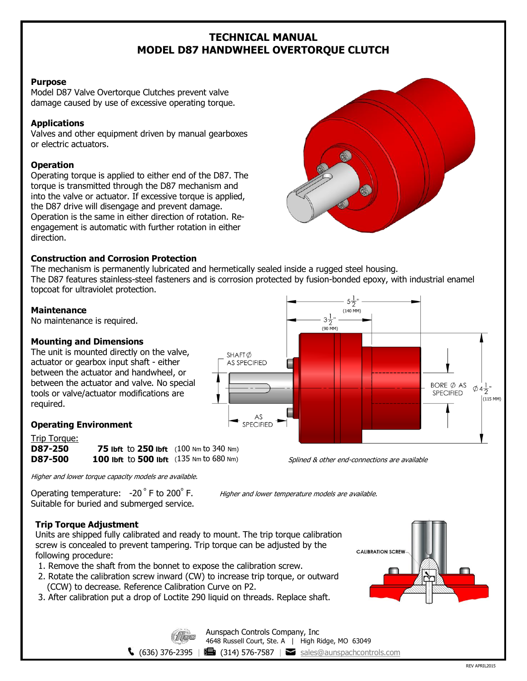## **TECHNICAL MANUAL MODEL D87 HANDWHEEL OVERTORQUE CLUTCH**

#### **Purpose**

Model D87 Valve Overtorque Clutches prevent valve damage caused by use of excessive operating torque.

## **Applications**

Valves and other equipment driven by manual gearboxes or electric actuators.

## **Operation**

Operating torque is applied to either end of the D87. The torque is transmitted through the D87 mechanism and into the valve or actuator. If excessive torque is applied, the D87 drive will disengage and prevent damage. Operation is the same in either direction of rotation. Reengagement is automatic with further rotation in either direction.



## **Construction and Corrosion Protection**

The mechanism is permanently lubricated and hermetically sealed inside a rugged steel housing. The D87 features stainless-steel fasteners and is corrosion protected by fusion-bonded epoxy, with industrial enamel topcoat for ultraviolet protection.

### **Maintenance**

No maintenance is required.

## **Mounting and Dimensions**

The unit is mounted directly on the valve, actuator or gearbox input shaft - either between the actuator and handwheel, or between the actuator and valve. No special tools or valve/actuator modifications are required.

# $5\frac{1}{2}$ (140 MM)  $3\frac{1}{2}$ (90 MM) SHAFT<sup>Ø</sup> AS SPECIFIED BORE  $\emptyset$  AS  $\phi$ 4 $\frac{1}{2}$ " **SPECIFIED** (115 MM)  $AS$ **SPECIFIED**

**Operating Environment**

Trip Torque: **D87-250 75 lbft** to **250 lbft** (100 Nm to 340 Nm) **D87-500 100 lbft** to **500 lbft** (135 Nm to 680 Nm)



Higher and lower torque capacity models are available.

Operating temperature: -20 °F to 200° Suitable for buried and submerged service. Higher and lower temperature models are available.

## **Trip Torque Adjustment**

Units are shipped fully calibrated and ready to mount. The trip torque calibration screw is concealed to prevent tampering. Trip torque can be adjusted by the following procedure:

- 1. Remove the shaft from the bonnet to expose the calibration screw.
- 2. Rotate the calibration screw inward (CW) to increase trip torque, or outward (CCW) to decrease. Reference Calibration Curve on P2.
- 3. After calibration put a drop of Loctite 290 liquid on threads. Replace shaft.